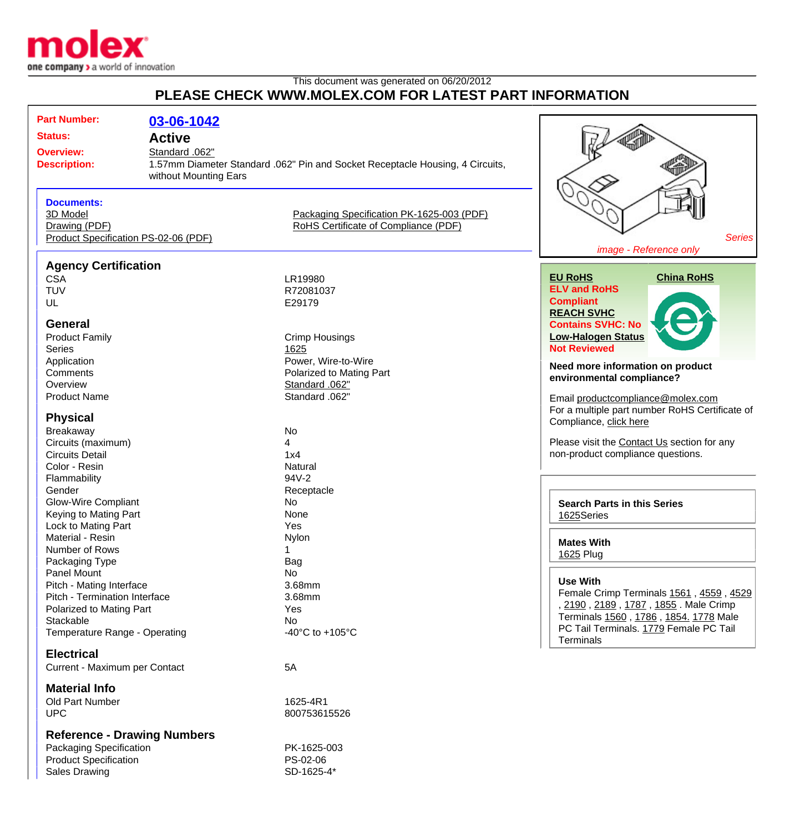

## This document was generated on 06/20/2012 **PLEASE CHECK WWW.MOLEX.COM FOR LATEST PART INFORMATION**

| <b>Part Number:</b><br><b>Status:</b><br><b>Overview:</b><br><b>Description:</b><br><b>Documents:</b><br>3D Model<br>Drawing (PDF)<br>Product Specification PS-02-06 (PDF) | 03-06-1042<br><b>Active</b><br>Standard .062"<br>without Mounting Ears | 1.57mm Diameter Standard .062" Pin and Socket Receptacle Housing, 4 Circuits,<br>Packaging Specification PK-1625-003 (PDF)<br>RoHS Certificate of Compliance (PDF) | <b>Series</b><br>image - Reference only                                                                                                                                                                                                                            |
|----------------------------------------------------------------------------------------------------------------------------------------------------------------------------|------------------------------------------------------------------------|--------------------------------------------------------------------------------------------------------------------------------------------------------------------|--------------------------------------------------------------------------------------------------------------------------------------------------------------------------------------------------------------------------------------------------------------------|
| <b>Agency Certification</b><br><b>CSA</b><br><b>TUV</b><br>UL<br><b>General</b><br><b>Product Family</b><br><b>Series</b><br>Application                                   |                                                                        | LR19980<br>R72081037<br>E29179<br><b>Crimp Housings</b><br>1625<br>Power, Wire-to-Wire                                                                             | <b>EU RoHS</b><br><b>China RoHS</b><br><b>ELV and RoHS</b><br><b>Compliant</b><br><b>REACH SVHC</b><br><b>Contains SVHC: No</b><br><b>Low-Halogen Status</b><br><b>Not Reviewed</b>                                                                                |
| Comments<br>Overview<br><b>Product Name</b><br><b>Physical</b><br>Breakaway<br>Circuits (maximum)<br><b>Circuits Detail</b><br>Color - Resin                               |                                                                        | Polarized to Mating Part<br>Standard .062"<br>Standard .062"<br>No<br>4<br>1x4<br>Natural                                                                          | Need more information on product<br>environmental compliance?<br>Email productcompliance@molex.com<br>For a multiple part number RoHS Certificate of<br>Compliance, click here<br>Please visit the Contact Us section for any<br>non-product compliance questions. |
| Flammability<br>Gender<br><b>Glow-Wire Compliant</b><br>Keying to Mating Part<br>Lock to Mating Part<br>Material - Resin<br>Number of Rows                                 |                                                                        | 94V-2<br>Receptacle<br>No<br>None<br>Yes<br>Nylon                                                                                                                  | <b>Search Parts in this Series</b><br>1625Series<br><b>Mates With</b>                                                                                                                                                                                              |
| Packaging Type<br>Panel Mount<br>Pitch - Mating Interface<br>Pitch - Termination Interface<br>Polarized to Mating Part<br>Stackable<br>Temperature Range - Operating       |                                                                        | Bag<br>No<br>3.68mm<br>3.68mm<br>Yes<br>No<br>-40 $^{\circ}$ C to +105 $^{\circ}$ C                                                                                | 1625 Plug<br><b>Use With</b><br>Female Crimp Terminals 1561, 4559, 4529<br>, 2190, 2189, 1787, 1855. Male Crimp<br>Terminals 1560, 1786, 1854. 1778 Male<br>PC Tail Terminals. 1779 Female PC Tail<br><b>Terminals</b>                                             |
| <b>Electrical</b><br>Current - Maximum per Contact<br><b>Material Info</b><br>Old Part Number<br><b>UPC</b>                                                                |                                                                        | 5A<br>1625-4R1<br>800753615526                                                                                                                                     |                                                                                                                                                                                                                                                                    |
| <b>Reference - Drawing Numbers</b><br><b>Packaging Specification</b>                                                                                                       |                                                                        | PK-1625-003                                                                                                                                                        |                                                                                                                                                                                                                                                                    |

Product Specification **PS-02-06** Sales Drawing SD-1625-4\*